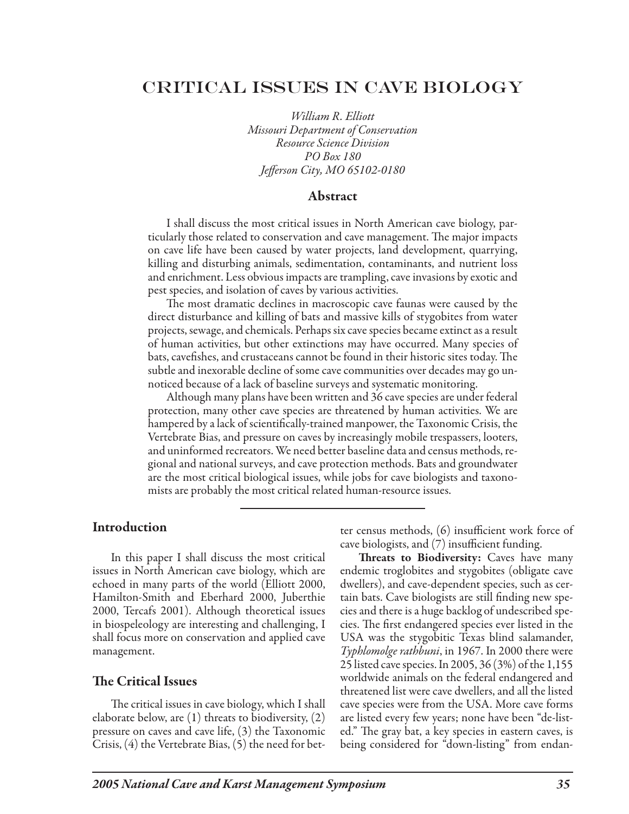# Critical Issues in Cave Biology

*William R. Elliott Missouri Department of Conservation Resource Science Division PO Box 180 Jefferson City, MO 65102-0180*

#### Abstract

I shall discuss the most critical issues in North American cave biology, particularly those related to conservation and cave management. The major impacts on cave life have been caused by water projects, land development, quarrying, killing and disturbing animals, sedimentation, contaminants, and nutrient loss and enrichment. Less obvious impacts are trampling, cave invasions by exotic and pest species, and isolation of caves by various activities.

The most dramatic declines in macroscopic cave faunas were caused by the direct disturbance and killing of bats and massive kills of stygobites from water projects, sewage, and chemicals. Perhaps six cave species became extinct as a result of human activities, but other extinctions may have occurred. Many species of bats, cavefishes, and crustaceans cannot be found in their historic sites today. The subtle and inexorable decline of some cave communities over decades may go unnoticed because of a lack of baseline surveys and systematic monitoring.

Although many plans have been written and 36 cave species are under federal protection, many other cave species are threatened by human activities. We are hampered by a lack of scientifically-trained manpower, the Taxonomic Crisis, the Vertebrate Bias, and pressure on caves by increasingly mobile trespassers, looters, and uninformed recreators. We need better baseline data and census methods, regional and national surveys, and cave protection methods. Bats and groundwater are the most critical biological issues, while jobs for cave biologists and taxonomists are probably the most critical related human-resource issues.

### Introduction

In this paper I shall discuss the most critical issues in North American cave biology, which are echoed in many parts of the world (Elliott 2000, Hamilton-Smith and Eberhard 2000, Juberthie 2000, Tercafs 2001). Although theoretical issues in biospeleology are interesting and challenging, I shall focus more on conservation and applied cave management.

#### The Critical Issues

The critical issues in cave biology, which I shall elaborate below, are (1) threats to biodiversity, (2) pressure on caves and cave life, (3) the Taxonomic Crisis, (4) the Vertebrate Bias, (5) the need for better census methods, (6) insufficient work force of cave biologists, and (7) insufficient funding.

Threats to Biodiversity: Caves have many endemic troglobites and stygobites (obligate cave dwellers), and cave-dependent species, such as certain bats. Cave biologists are still finding new species and there is a huge backlog of undescribed species. The first endangered species ever listed in the USA was the stygobitic Texas blind salamander, *Typhlomolge rathbuni*, in 1967. In 2000 there were 25 listed cave species. In 2005, 36 (3%) of the 1,155 worldwide animals on the federal endangered and threatened list were cave dwellers, and all the listed cave species were from the USA. More cave forms are listed every few years; none have been "de-listed." The gray bat, a key species in eastern caves, is being considered for "down-listing" from endan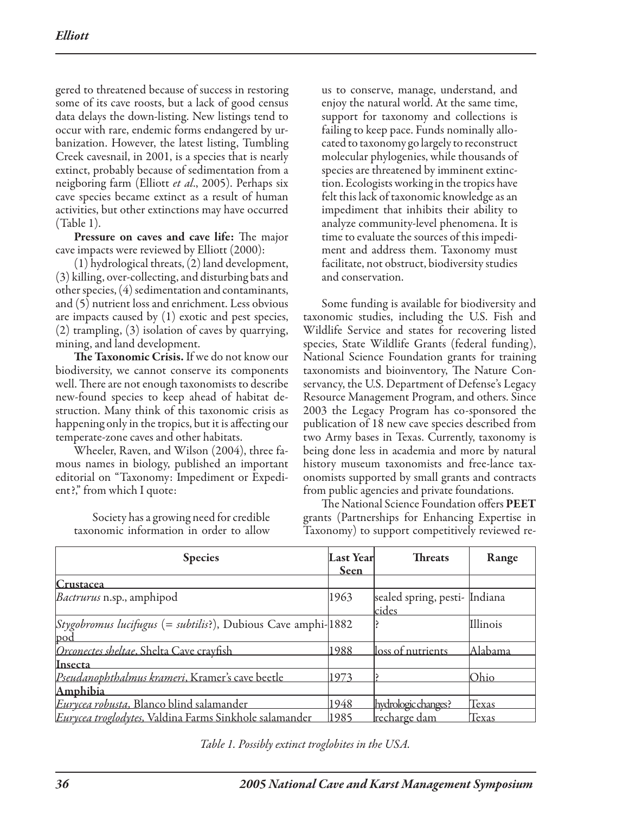gered to threatened because of success in restoring some of its cave roosts, but a lack of good census data delays the down-listing. New listings tend to occur with rare, endemic forms endangered by urbanization. However, the latest listing, Tumbling Creek cavesnail, in 2001, is a species that is nearly extinct, probably because of sedimentation from a neigboring farm (Elliott *et al*., 2005). Perhaps six cave species became extinct as a result of human activities, but other extinctions may have occurred (Table 1).

Pressure on caves and cave life: The major cave impacts were reviewed by Elliott (2000):

(1) hydrological threats, (2) land development, (3) killing, over-collecting, and disturbing bats and other species, (4) sedimentation and contaminants, and (5) nutrient loss and enrichment. Less obvious are impacts caused by (1) exotic and pest species, (2) trampling, (3) isolation of caves by quarrying, mining, and land development.

The Taxonomic Crisis. If we do not know our biodiversity, we cannot conserve its components well. There are not enough taxonomists to describe new-found species to keep ahead of habitat destruction. Many think of this taxonomic crisis as happening only in the tropics, but it is affecting our temperate-zone caves and other habitats.

Wheeler, Raven, and Wilson (2004), three famous names in biology, published an important editorial on "Taxonomy: Impediment or Expedient?," from which I quote:

Society has a growing need for credible taxonomic information in order to allow

us to conserve, manage, understand, and enjoy the natural world. At the same time, support for taxonomy and collections is failing to keep pace. Funds nominally allocated to taxonomy go largely to reconstruct molecular phylogenies, while thousands of species are threatened by imminent extinction. Ecologists working in the tropics have felt this lack of taxonomic knowledge as an impediment that inhibits their ability to analyze community-level phenomena. It is time to evaluate the sources of this impediment and address them. Taxonomy must facilitate, not obstruct, biodiversity studies and conservation.

Some funding is available for biodiversity and taxonomic studies, including the U.S. Fish and Wildlife Service and states for recovering listed species, State Wildlife Grants (federal funding), National Science Foundation grants for training taxonomists and bioinventory, The Nature Conservancy, the U.S. Department of Defense's Legacy Resource Management Program, and others. Since 2003 the Legacy Program has co-sponsored the publication of 18 new cave species described from two Army bases in Texas. Currently, taxonomy is being done less in academia and more by natural history museum taxonomists and free-lance taxonomists supported by small grants and contracts from public agencies and private foundations.

The National Science Foundation offers PEET grants (Partnerships for Enhancing Expertise in Taxonomy) to support competitively reviewed re-

| <b>Species</b>                                                                                | Last Year<br><b>Seen</b> | <b>Threats</b>                                | Range    |
|-----------------------------------------------------------------------------------------------|--------------------------|-----------------------------------------------|----------|
| Crustacea                                                                                     |                          |                                               |          |
| <i>Bactrurus</i> n.sp., amphipod                                                              | 1963                     | sealed spring, pesti- Indiana<br><u>cides</u> |          |
| <i>Stygobromus lucifugus</i> (= <i>subtilis</i> ?), Dubious Cave amphi- $ 1882\rangle$<br>pod |                          |                                               | Illinois |
| Orconectes sheltae, Shelta Cave crayfish                                                      | 1988                     | loss of nutrients                             | Alabama  |
| Insecta                                                                                       |                          |                                               |          |
| Pseudanophthalmus krameri, Kramer's cave beetle                                               | 1973                     |                                               | Ohio     |
| Amphibia                                                                                      |                          |                                               |          |
| Eurycea robusta, Blanco blind salamander                                                      | 1948                     | hydrologic changes?                           | Texas    |
| Eurycea troglodytes, Valdina Farms Sinkhole salamander                                        | 1985                     | <u>lrecharge dam</u>                          | Texas    |

*Table 1. Possibly extinct troglobites in the USA.*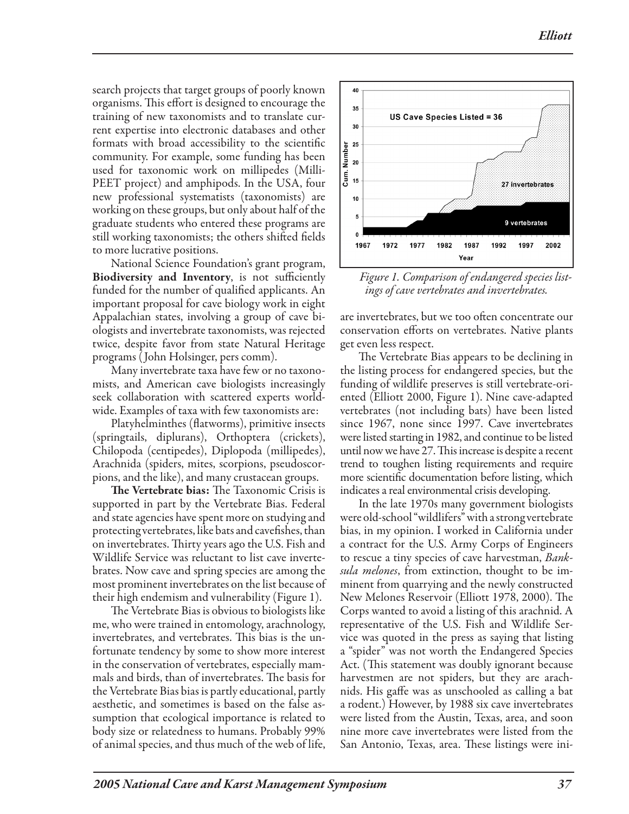search projects that target groups of poorly known organisms. This effort is designed to encourage the training of new taxonomists and to translate current expertise into electronic databases and other formats with broad accessibility to the scientific community. For example, some funding has been used for taxonomic work on millipedes (Milli-PEET project) and amphipods. In the USA, four new professional systematists (taxonomists) are working on these groups, but only about half of the graduate students who entered these programs are still working taxonomists; the others shifted fields to more lucrative positions.

National Science Foundation's grant program, Biodiversity and Inventory, is not sufficiently funded for the number of qualified applicants. An important proposal for cave biology work in eight Appalachian states, involving a group of cave biologists and invertebrate taxonomists, was rejected twice, despite favor from state Natural Heritage programs ( John Holsinger, pers comm).

Many invertebrate taxa have few or no taxonomists, and American cave biologists increasingly seek collaboration with scattered experts worldwide. Examples of taxa with few taxonomists are:

Platyhelminthes (flatworms), primitive insects (springtails, diplurans), Orthoptera (crickets), Chilopoda (centipedes), Diplopoda (millipedes), Arachnida (spiders, mites, scorpions, pseudoscorpions, and the like), and many crustacean groups.

The Vertebrate bias: The Taxonomic Crisis is supported in part by the Vertebrate Bias. Federal and state agencies have spent more on studying and protecting vertebrates, like bats and cavefishes, than on invertebrates. Thirty years ago the U.S. Fish and Wildlife Service was reluctant to list cave invertebrates. Now cave and spring species are among the most prominent invertebrates on the list because of their high endemism and vulnerability (Figure 1).

The Vertebrate Bias is obvious to biologists like me, who were trained in entomology, arachnology, invertebrates, and vertebrates. This bias is the unfortunate tendency by some to show more interest in the conservation of vertebrates, especially mammals and birds, than of invertebrates. The basis for the Vertebrate Bias bias is partly educational, partly aesthetic, and sometimes is based on the false assumption that ecological importance is related to body size or relatedness to humans. Probably 99% of animal species, and thus much of the web of life,



*Figure 1. Comparison of endangered species listings of cave vertebrates and invertebrates.*

are invertebrates, but we too often concentrate our conservation efforts on vertebrates. Native plants get even less respect.

The Vertebrate Bias appears to be declining in the listing process for endangered species, but the funding of wildlife preserves is still vertebrate-oriented (Elliott 2000, Figure 1). Nine cave-adapted vertebrates (not including bats) have been listed since 1967, none since 1997. Cave invertebrates were listed starting in 1982, and continue to be listed until now we have 27. This increase is despite a recent trend to toughen listing requirements and require more scientific documentation before listing, which indicates a real environmental crisis developing.

In the late 1970s many government biologists were old-school "wildlifers" with a strong vertebrate bias, in my opinion. I worked in California under a contract for the U.S. Army Corps of Engineers to rescue a tiny species of cave harvestman, *Banksula melones*, from extinction, thought to be imminent from quarrying and the newly constructed New Melones Reservoir (Elliott 1978, 2000). The Corps wanted to avoid a listing of this arachnid. A representative of the U.S. Fish and Wildlife Service was quoted in the press as saying that listing a "spider" was not worth the Endangered Species Act. (This statement was doubly ignorant because harvestmen are not spiders, but they are arachnids. His gaffe was as unschooled as calling a bat a rodent.) However, by 1988 six cave invertebrates were listed from the Austin, Texas, area, and soon nine more cave invertebrates were listed from the San Antonio, Texas, area. These listings were ini-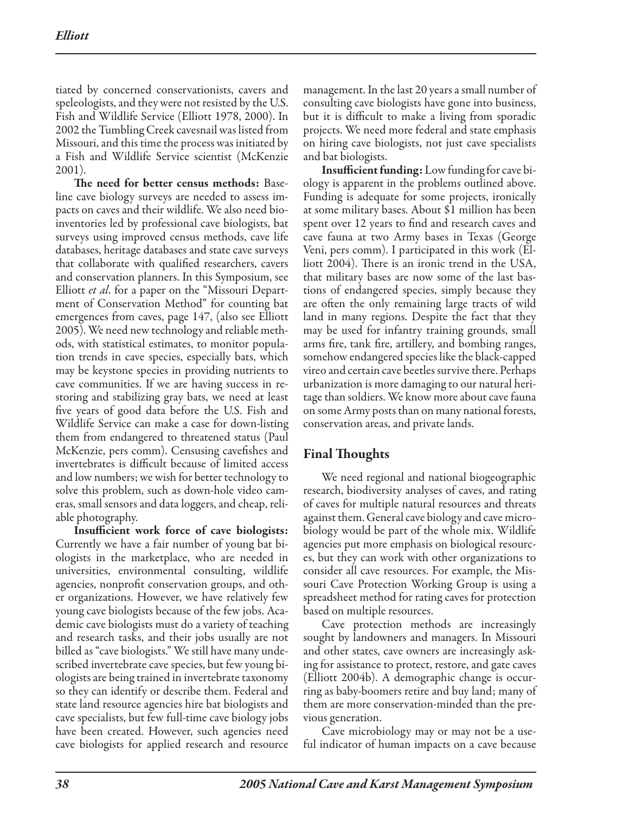tiated by concerned conservationists, cavers and speleologists, and they were not resisted by the U.S. Fish and Wildlife Service (Elliott 1978, 2000). In 2002 the Tumbling Creek cavesnail was listed from Missouri, and this time the process was initiated by a Fish and Wildlife Service scientist (McKenzie 2001).

The need for better census methods: Baseline cave biology surveys are needed to assess impacts on caves and their wildlife. We also need bioinventories led by professional cave biologists, bat surveys using improved census methods, cave life databases, heritage databases and state cave surveys that collaborate with qualified researchers, cavers and conservation planners. In this Symposium, see Elliott *et al*. for a paper on the "Missouri Department of Conservation Method" for counting bat emergences from caves, page 147, (also see Elliott 2005). We need new technology and reliable methods, with statistical estimates, to monitor population trends in cave species, especially bats, which may be keystone species in providing nutrients to cave communities. If we are having success in restoring and stabilizing gray bats, we need at least five years of good data before the U.S. Fish and Wildlife Service can make a case for down-listing them from endangered to threatened status (Paul McKenzie, pers comm). Censusing cavefishes and invertebrates is difficult because of limited access and low numbers; we wish for better technology to solve this problem, such as down-hole video cameras, small sensors and data loggers, and cheap, reliable photography.

Insufficient work force of cave biologists: Currently we have a fair number of young bat biologists in the marketplace, who are needed in universities, environmental consulting, wildlife agencies, nonprofit conservation groups, and other organizations. However, we have relatively few young cave biologists because of the few jobs. Academic cave biologists must do a variety of teaching and research tasks, and their jobs usually are not billed as "cave biologists." We still have many undescribed invertebrate cave species, but few young biologists are being trained in invertebrate taxonomy so they can identify or describe them. Federal and state land resource agencies hire bat biologists and cave specialists, but few full-time cave biology jobs have been created. However, such agencies need cave biologists for applied research and resource

management. In the last 20 years a small number of consulting cave biologists have gone into business, but it is difficult to make a living from sporadic projects. We need more federal and state emphasis on hiring cave biologists, not just cave specialists and bat biologists.

Insufficient funding: Low funding for cave biology is apparent in the problems outlined above. Funding is adequate for some projects, ironically at some military bases. About \$1 million has been spent over 12 years to find and research caves and cave fauna at two Army bases in Texas (George Veni, pers comm). I participated in this work (Elliott 2004). There is an ironic trend in the USA, that military bases are now some of the last bastions of endangered species, simply because they are often the only remaining large tracts of wild land in many regions. Despite the fact that they may be used for infantry training grounds, small arms fire, tank fire, artillery, and bombing ranges, somehow endangered species like the black-capped vireo and certain cave beetles survive there. Perhaps urbanization is more damaging to our natural heritage than soldiers. We know more about cave fauna on some Army posts than on many national forests, conservation areas, and private lands.

## Final Thoughts

We need regional and national biogeographic research, biodiversity analyses of caves, and rating of caves for multiple natural resources and threats against them. General cave biology and cave microbiology would be part of the whole mix. Wildlife agencies put more emphasis on biological resources, but they can work with other organizations to consider all cave resources. For example, the Missouri Cave Protection Working Group is using a spreadsheet method for rating caves for protection based on multiple resources.

Cave protection methods are increasingly sought by landowners and managers. In Missouri and other states, cave owners are increasingly asking for assistance to protect, restore, and gate caves (Elliott 2004b). A demographic change is occurring as baby-boomers retire and buy land; many of them are more conservation-minded than the previous generation.

Cave microbiology may or may not be a useful indicator of human impacts on a cave because